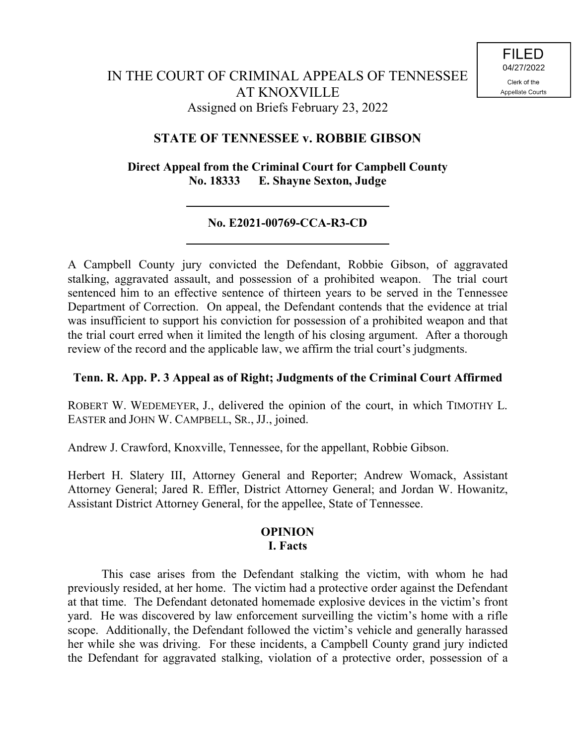## **STATE OF TENNESSEE v. ROBBIE GIBSON**

**Direct Appeal from the Criminal Court for Campbell County No. 18333 E. Shayne Sexton, Judge**

# **No. E2021-00769-CCA-R3-CD**

A Campbell County jury convicted the Defendant, Robbie Gibson, of aggravated stalking, aggravated assault, and possession of a prohibited weapon. The trial court sentenced him to an effective sentence of thirteen years to be served in the Tennessee Department of Correction. On appeal, the Defendant contends that the evidence at trial was insufficient to support his conviction for possession of a prohibited weapon and that the trial court erred when it limited the length of his closing argument. After a thorough review of the record and the applicable law, we affirm the trial court's judgments.

## **Tenn. R. App. P. 3 Appeal as of Right; Judgments of the Criminal Court Affirmed**

ROBERT W. WEDEMEYER, J., delivered the opinion of the court, in which TIMOTHY L. EASTER and JOHN W. CAMPBELL, SR., JJ., joined.

Andrew J. Crawford, Knoxville, Tennessee, for the appellant, Robbie Gibson.

Herbert H. Slatery III, Attorney General and Reporter; Andrew Womack, Assistant Attorney General; Jared R. Effler, District Attorney General; and Jordan W. Howanitz, Assistant District Attorney General, for the appellee, State of Tennessee.

### **OPINION I. Facts**

This case arises from the Defendant stalking the victim, with whom he had previously resided, at her home. The victim had a protective order against the Defendant at that time. The Defendant detonated homemade explosive devices in the victim's front yard. He was discovered by law enforcement surveilling the victim's home with a rifle scope. Additionally, the Defendant followed the victim's vehicle and generally harassed her while she was driving. For these incidents, a Campbell County grand jury indicted the Defendant for aggravated stalking, violation of a protective order, possession of a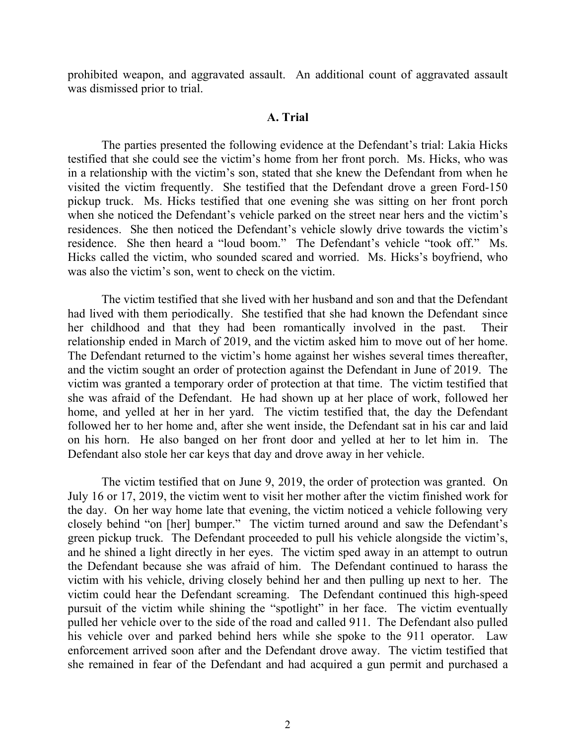prohibited weapon, and aggravated assault. An additional count of aggravated assault was dismissed prior to trial.

#### **A. Trial**

The parties presented the following evidence at the Defendant's trial: Lakia Hicks testified that she could see the victim's home from her front porch. Ms. Hicks, who was in a relationship with the victim's son, stated that she knew the Defendant from when he visited the victim frequently. She testified that the Defendant drove a green Ford-150 pickup truck. Ms. Hicks testified that one evening she was sitting on her front porch when she noticed the Defendant's vehicle parked on the street near hers and the victim's residences. She then noticed the Defendant's vehicle slowly drive towards the victim's residence. She then heard a "loud boom." The Defendant's vehicle "took off." Ms. Hicks called the victim, who sounded scared and worried. Ms. Hicks's boyfriend, who was also the victim's son, went to check on the victim.

The victim testified that she lived with her husband and son and that the Defendant had lived with them periodically. She testified that she had known the Defendant since her childhood and that they had been romantically involved in the past. Their relationship ended in March of 2019, and the victim asked him to move out of her home. The Defendant returned to the victim's home against her wishes several times thereafter, and the victim sought an order of protection against the Defendant in June of 2019. The victim was granted a temporary order of protection at that time. The victim testified that she was afraid of the Defendant. He had shown up at her place of work, followed her home, and yelled at her in her yard. The victim testified that, the day the Defendant followed her to her home and, after she went inside, the Defendant sat in his car and laid on his horn. He also banged on her front door and yelled at her to let him in. The Defendant also stole her car keys that day and drove away in her vehicle.

The victim testified that on June 9, 2019, the order of protection was granted. On July 16 or 17, 2019, the victim went to visit her mother after the victim finished work for the day. On her way home late that evening, the victim noticed a vehicle following very closely behind "on [her] bumper." The victim turned around and saw the Defendant's green pickup truck. The Defendant proceeded to pull his vehicle alongside the victim's, and he shined a light directly in her eyes. The victim sped away in an attempt to outrun the Defendant because she was afraid of him. The Defendant continued to harass the victim with his vehicle, driving closely behind her and then pulling up next to her. The victim could hear the Defendant screaming. The Defendant continued this high-speed pursuit of the victim while shining the "spotlight" in her face. The victim eventually pulled her vehicle over to the side of the road and called 911. The Defendant also pulled his vehicle over and parked behind hers while she spoke to the 911 operator. Law enforcement arrived soon after and the Defendant drove away. The victim testified that she remained in fear of the Defendant and had acquired a gun permit and purchased a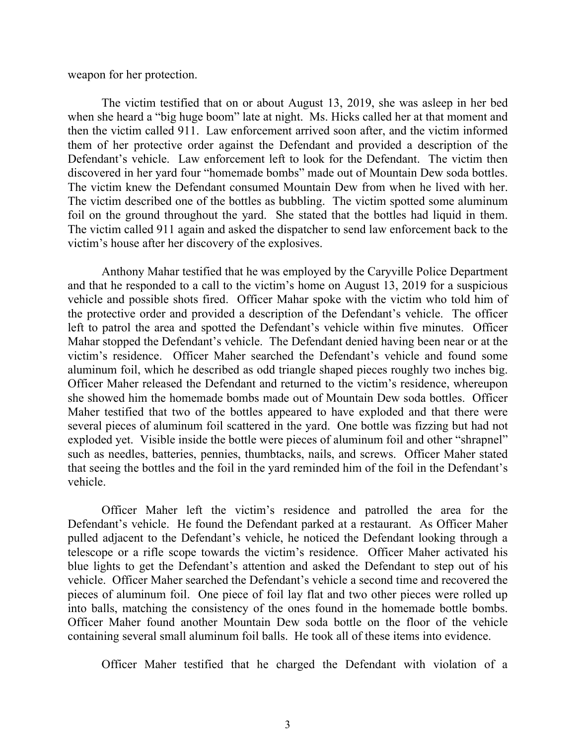weapon for her protection.

The victim testified that on or about August 13, 2019, she was asleep in her bed when she heard a "big huge boom" late at night. Ms. Hicks called her at that moment and then the victim called 911. Law enforcement arrived soon after, and the victim informed them of her protective order against the Defendant and provided a description of the Defendant's vehicle. Law enforcement left to look for the Defendant. The victim then discovered in her yard four "homemade bombs" made out of Mountain Dew soda bottles. The victim knew the Defendant consumed Mountain Dew from when he lived with her. The victim described one of the bottles as bubbling. The victim spotted some aluminum foil on the ground throughout the yard. She stated that the bottles had liquid in them. The victim called 911 again and asked the dispatcher to send law enforcement back to the victim's house after her discovery of the explosives.

Anthony Mahar testified that he was employed by the Caryville Police Department and that he responded to a call to the victim's home on August 13, 2019 for a suspicious vehicle and possible shots fired. Officer Mahar spoke with the victim who told him of the protective order and provided a description of the Defendant's vehicle. The officer left to patrol the area and spotted the Defendant's vehicle within five minutes. Officer Mahar stopped the Defendant's vehicle. The Defendant denied having been near or at the victim's residence. Officer Maher searched the Defendant's vehicle and found some aluminum foil, which he described as odd triangle shaped pieces roughly two inches big. Officer Maher released the Defendant and returned to the victim's residence, whereupon she showed him the homemade bombs made out of Mountain Dew soda bottles. Officer Maher testified that two of the bottles appeared to have exploded and that there were several pieces of aluminum foil scattered in the yard. One bottle was fizzing but had not exploded yet. Visible inside the bottle were pieces of aluminum foil and other "shrapnel" such as needles, batteries, pennies, thumbtacks, nails, and screws. Officer Maher stated that seeing the bottles and the foil in the yard reminded him of the foil in the Defendant's vehicle.

Officer Maher left the victim's residence and patrolled the area for the Defendant's vehicle. He found the Defendant parked at a restaurant. As Officer Maher pulled adjacent to the Defendant's vehicle, he noticed the Defendant looking through a telescope or a rifle scope towards the victim's residence. Officer Maher activated his blue lights to get the Defendant's attention and asked the Defendant to step out of his vehicle. Officer Maher searched the Defendant's vehicle a second time and recovered the pieces of aluminum foil. One piece of foil lay flat and two other pieces were rolled up into balls, matching the consistency of the ones found in the homemade bottle bombs. Officer Maher found another Mountain Dew soda bottle on the floor of the vehicle containing several small aluminum foil balls. He took all of these items into evidence.

Officer Maher testified that he charged the Defendant with violation of a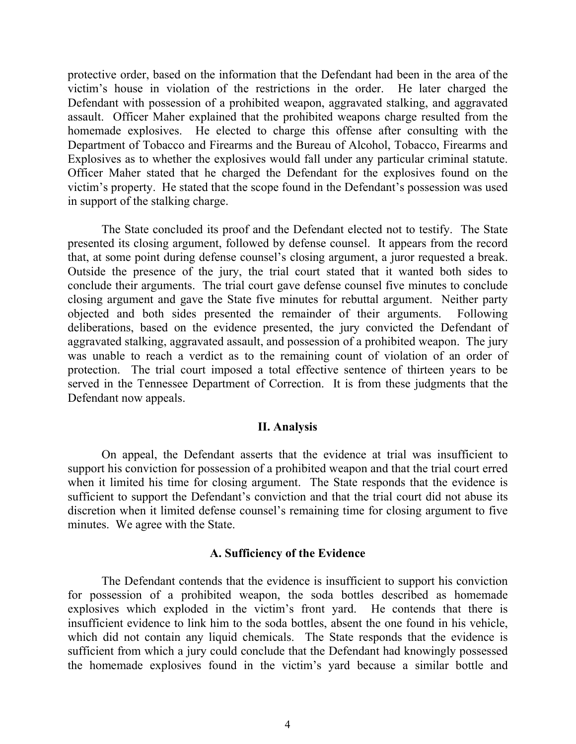protective order, based on the information that the Defendant had been in the area of the victim's house in violation of the restrictions in the order. He later charged the Defendant with possession of a prohibited weapon, aggravated stalking, and aggravated assault. Officer Maher explained that the prohibited weapons charge resulted from the homemade explosives. He elected to charge this offense after consulting with the Department of Tobacco and Firearms and the Bureau of Alcohol, Tobacco, Firearms and Explosives as to whether the explosives would fall under any particular criminal statute. Officer Maher stated that he charged the Defendant for the explosives found on the victim's property. He stated that the scope found in the Defendant's possession was used in support of the stalking charge.

The State concluded its proof and the Defendant elected not to testify. The State presented its closing argument, followed by defense counsel. It appears from the record that, at some point during defense counsel's closing argument, a juror requested a break. Outside the presence of the jury, the trial court stated that it wanted both sides to conclude their arguments. The trial court gave defense counsel five minutes to conclude closing argument and gave the State five minutes for rebuttal argument. Neither party objected and both sides presented the remainder of their arguments. Following deliberations, based on the evidence presented, the jury convicted the Defendant of aggravated stalking, aggravated assault, and possession of a prohibited weapon. The jury was unable to reach a verdict as to the remaining count of violation of an order of protection. The trial court imposed a total effective sentence of thirteen years to be served in the Tennessee Department of Correction. It is from these judgments that the Defendant now appeals.

#### **II. Analysis**

On appeal, the Defendant asserts that the evidence at trial was insufficient to support his conviction for possession of a prohibited weapon and that the trial court erred when it limited his time for closing argument. The State responds that the evidence is sufficient to support the Defendant's conviction and that the trial court did not abuse its discretion when it limited defense counsel's remaining time for closing argument to five minutes. We agree with the State.

#### **A. Sufficiency of the Evidence**

The Defendant contends that the evidence is insufficient to support his conviction for possession of a prohibited weapon, the soda bottles described as homemade explosives which exploded in the victim's front yard. He contends that there is insufficient evidence to link him to the soda bottles, absent the one found in his vehicle, which did not contain any liquid chemicals. The State responds that the evidence is sufficient from which a jury could conclude that the Defendant had knowingly possessed the homemade explosives found in the victim's yard because a similar bottle and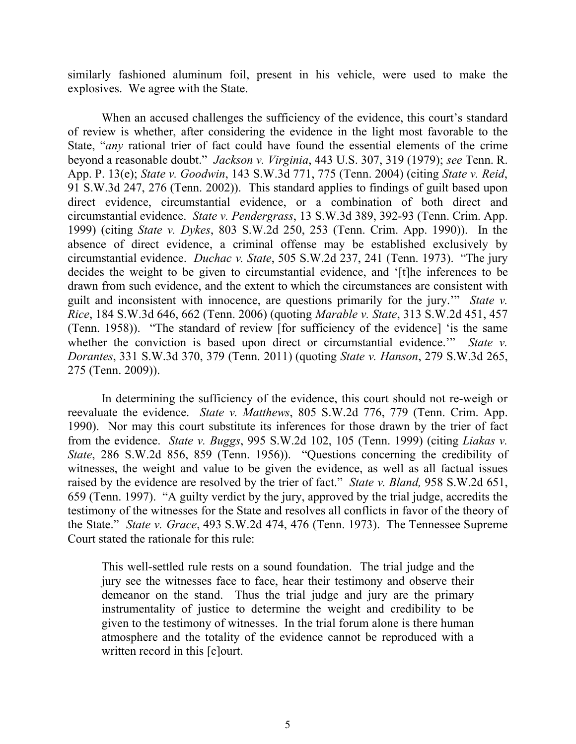similarly fashioned aluminum foil, present in his vehicle, were used to make the explosives. We agree with the State.

When an accused challenges the sufficiency of the evidence, this court's standard of review is whether, after considering the evidence in the light most favorable to the State, "*any* rational trier of fact could have found the essential elements of the crime beyond a reasonable doubt." *Jackson v. Virginia*, 443 U.S. 307, 319 (1979); *see* Tenn. R. App. P. 13(e); *State v. Goodwin*, 143 S.W.3d 771, 775 (Tenn. 2004) (citing *State v. Reid*, 91 S.W.3d 247, 276 (Tenn. 2002)). This standard applies to findings of guilt based upon direct evidence, circumstantial evidence, or a combination of both direct and circumstantial evidence. *State v. Pendergrass*, 13 S.W.3d 389, 392-93 (Tenn. Crim. App. 1999) (citing *State v. Dykes*, 803 S.W.2d 250, 253 (Tenn. Crim. App. 1990)). In the absence of direct evidence, a criminal offense may be established exclusively by circumstantial evidence. *Duchac v. State*, 505 S.W.2d 237, 241 (Tenn. 1973). "The jury decides the weight to be given to circumstantial evidence, and '[t]he inferences to be drawn from such evidence, and the extent to which the circumstances are consistent with guilt and inconsistent with innocence, are questions primarily for the jury.'" *State v. Rice*, 184 S.W.3d 646, 662 (Tenn. 2006) (quoting *Marable v. State*, 313 S.W.2d 451, 457 (Tenn. 1958)). "The standard of review [for sufficiency of the evidence] 'is the same whether the conviction is based upon direct or circumstantial evidence." *State v. Dorantes*, 331 S.W.3d 370, 379 (Tenn. 2011) (quoting *State v. Hanson*, 279 S.W.3d 265, 275 (Tenn. 2009)).

In determining the sufficiency of the evidence, this court should not re-weigh or reevaluate the evidence. *State v. Matthews*, 805 S.W.2d 776, 779 (Tenn. Crim. App. 1990). Nor may this court substitute its inferences for those drawn by the trier of fact from the evidence. *State v. Buggs*, 995 S.W.2d 102, 105 (Tenn. 1999) (citing *Liakas v. State*, 286 S.W.2d 856, 859 (Tenn. 1956)). "Questions concerning the credibility of witnesses, the weight and value to be given the evidence, as well as all factual issues raised by the evidence are resolved by the trier of fact." *State v. Bland,* 958 S.W.2d 651, 659 (Tenn. 1997). "A guilty verdict by the jury, approved by the trial judge, accredits the testimony of the witnesses for the State and resolves all conflicts in favor of the theory of the State." *State v. Grace*, 493 S.W.2d 474, 476 (Tenn. 1973). The Tennessee Supreme Court stated the rationale for this rule:

This well-settled rule rests on a sound foundation. The trial judge and the jury see the witnesses face to face, hear their testimony and observe their demeanor on the stand. Thus the trial judge and jury are the primary instrumentality of justice to determine the weight and credibility to be given to the testimony of witnesses. In the trial forum alone is there human atmosphere and the totality of the evidence cannot be reproduced with a written record in this [c]ourt.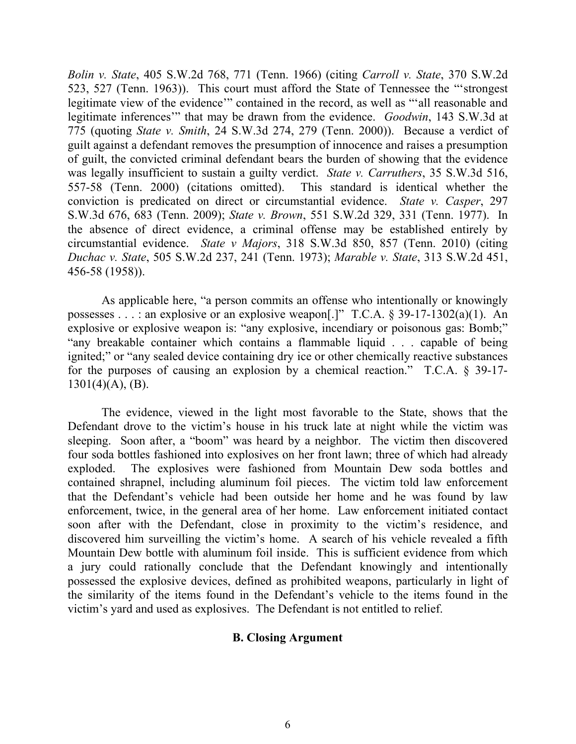*Bolin v. State*, 405 S.W.2d 768, 771 (Tenn. 1966) (citing *Carroll v. State*, 370 S.W.2d 523, 527 (Tenn. 1963)). This court must afford the State of Tennessee the "'strongest legitimate view of the evidence'" contained in the record, as well as "'all reasonable and legitimate inferences'" that may be drawn from the evidence. *Goodwin*, 143 S.W.3d at 775 (quoting *State v. Smith*, 24 S.W.3d 274, 279 (Tenn. 2000)). Because a verdict of guilt against a defendant removes the presumption of innocence and raises a presumption of guilt, the convicted criminal defendant bears the burden of showing that the evidence was legally insufficient to sustain a guilty verdict. *State v. Carruthers*, 35 S.W.3d 516, 557-58 (Tenn. 2000) (citations omitted). This standard is identical whether the conviction is predicated on direct or circumstantial evidence. *State v. Casper*, 297 S.W.3d 676, 683 (Tenn. 2009); *State v. Brown*, 551 S.W.2d 329, 331 (Tenn. 1977). In the absence of direct evidence, a criminal offense may be established entirely by circumstantial evidence. *State v Majors*, 318 S.W.3d 850, 857 (Tenn. 2010) (citing *Duchac v. State*, 505 S.W.2d 237, 241 (Tenn. 1973); *Marable v. State*, 313 S.W.2d 451, 456-58 (1958)).

As applicable here, "a person commits an offense who intentionally or knowingly possesses . . . : an explosive or an explosive weapon[.]" T.C.A. § 39-17-1302(a)(1). An explosive or explosive weapon is: "any explosive, incendiary or poisonous gas: Bomb;" "any breakable container which contains a flammable liquid . . . capable of being ignited;" or "any sealed device containing dry ice or other chemically reactive substances for the purposes of causing an explosion by a chemical reaction." T.C.A. § 39-17-  $1301(4)$ (A), (B).

The evidence, viewed in the light most favorable to the State, shows that the Defendant drove to the victim's house in his truck late at night while the victim was sleeping. Soon after, a "boom" was heard by a neighbor. The victim then discovered four soda bottles fashioned into explosives on her front lawn; three of which had already exploded. The explosives were fashioned from Mountain Dew soda bottles and contained shrapnel, including aluminum foil pieces. The victim told law enforcement that the Defendant's vehicle had been outside her home and he was found by law enforcement, twice, in the general area of her home. Law enforcement initiated contact soon after with the Defendant, close in proximity to the victim's residence, and discovered him surveilling the victim's home. A search of his vehicle revealed a fifth Mountain Dew bottle with aluminum foil inside. This is sufficient evidence from which a jury could rationally conclude that the Defendant knowingly and intentionally possessed the explosive devices, defined as prohibited weapons, particularly in light of the similarity of the items found in the Defendant's vehicle to the items found in the victim's yard and used as explosives. The Defendant is not entitled to relief.

### **B. Closing Argument**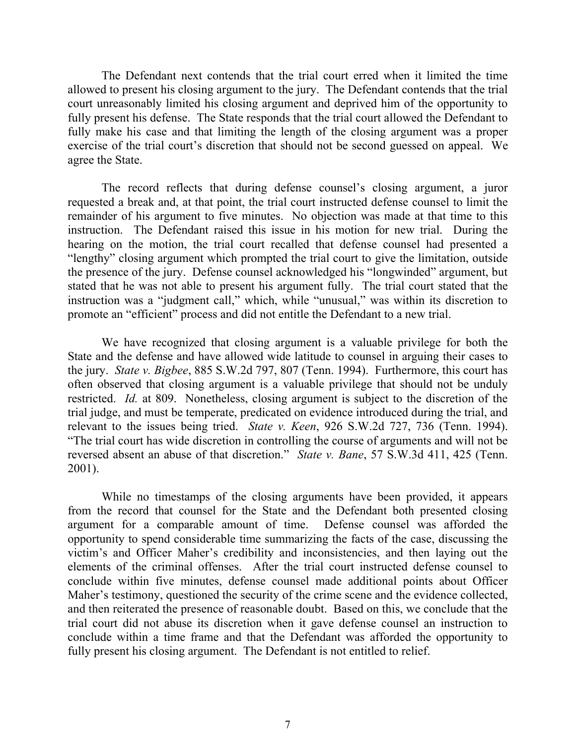The Defendant next contends that the trial court erred when it limited the time allowed to present his closing argument to the jury. The Defendant contends that the trial court unreasonably limited his closing argument and deprived him of the opportunity to fully present his defense. The State responds that the trial court allowed the Defendant to fully make his case and that limiting the length of the closing argument was a proper exercise of the trial court's discretion that should not be second guessed on appeal. We agree the State.

The record reflects that during defense counsel's closing argument, a juror requested a break and, at that point, the trial court instructed defense counsel to limit the remainder of his argument to five minutes. No objection was made at that time to this instruction. The Defendant raised this issue in his motion for new trial. During the hearing on the motion, the trial court recalled that defense counsel had presented a "lengthy" closing argument which prompted the trial court to give the limitation, outside the presence of the jury. Defense counsel acknowledged his "longwinded" argument, but stated that he was not able to present his argument fully. The trial court stated that the instruction was a "judgment call," which, while "unusual," was within its discretion to promote an "efficient" process and did not entitle the Defendant to a new trial.

We have recognized that closing argument is a valuable privilege for both the State and the defense and have allowed wide latitude to counsel in arguing their cases to the jury. *State v. Bigbee*, 885 S.W.2d 797, 807 (Tenn. 1994). Furthermore, this court has often observed that closing argument is a valuable privilege that should not be unduly restricted. *Id.* at 809. Nonetheless, closing argument is subject to the discretion of the trial judge, and must be temperate, predicated on evidence introduced during the trial, and relevant to the issues being tried. *State v. Keen*, 926 S.W.2d 727, 736 (Tenn. 1994). "The trial court has wide discretion in controlling the course of arguments and will not be reversed absent an abuse of that discretion." *State v. Bane*, 57 S.W.3d 411, 425 (Tenn. 2001).

While no timestamps of the closing arguments have been provided, it appears from the record that counsel for the State and the Defendant both presented closing argument for a comparable amount of time. Defense counsel was afforded the opportunity to spend considerable time summarizing the facts of the case, discussing the victim's and Officer Maher's credibility and inconsistencies, and then laying out the elements of the criminal offenses. After the trial court instructed defense counsel to conclude within five minutes, defense counsel made additional points about Officer Maher's testimony, questioned the security of the crime scene and the evidence collected, and then reiterated the presence of reasonable doubt. Based on this, we conclude that the trial court did not abuse its discretion when it gave defense counsel an instruction to conclude within a time frame and that the Defendant was afforded the opportunity to fully present his closing argument. The Defendant is not entitled to relief.